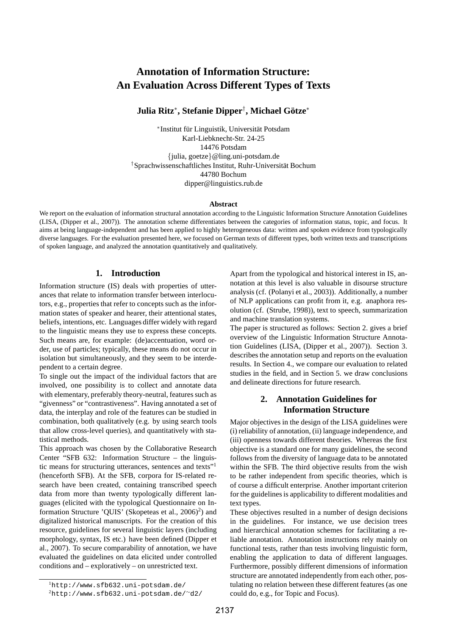# **Annotation of Information Structure: An Evaluation Across Different Types of Texts**

**Julia Ritz**<sup>∗</sup> **, Stefanie Dipper**† **, Michael Gotze ¨** ∗

\*Institut für Linguistik, Universität Potsdam Karl-Liebknecht-Str. 24-25 14476 Potsdam {julia, goetze}@ling.uni-potsdam.de <sup>†</sup>Sprachwissenschaftliches Institut, Ruhr-Universität Bochum 44780 Bochum dipper@linguistics.rub.de

#### **Abstract**

We report on the evaluation of information structural annotation according to the Linguistic Information Structure Annotation Guidelines (LISA, (Dipper et al., 2007)). The annotation scheme differentiates between the categories of information status, topic, and focus. It aims at being language-independent and has been applied to highly heterogeneous data: written and spoken evidence from typologically diverse languages. For the evaluation presented here, we focused on German texts of different types, both written texts and transcriptions of spoken language, and analyzed the annotation quantitatively and qualitatively.

### **1. Introduction**

Information structure (IS) deals with properties of utterances that relate to information transfer between interlocutors, e.g., properties that refer to concepts such as the information states of speaker and hearer, their attentional states, beliefs, intentions, etc. Languages differ widely with regard to the linguistic means they use to express these concepts. Such means are, for example: (de)accentuation, word order, use of particles; typically, these means do not occur in isolation but simultaneously, and they seem to be interdependent to a certain degree.

To single out the impact of the individual factors that are involved, one possibility is to collect and annotate data with elementary, preferably theory-neutral, features such as "givenness" or "contrastiveness". Having annotated a set of data, the interplay and role of the features can be studied in combination, both qualitatively (e.g. by using search tools that allow cross-level queries), and quantitatively with statistical methods.

This approach was chosen by the Collaborative Research Center "SFB 632: Information Structure – the linguistic means for structuring utterances, sentences and texts"<sup>1</sup> (henceforth SFB). At the SFB, corpora for IS-related research have been created, containing transcribed speech data from more than twenty typologically different languages (elicited with the typological Questionnaire on Information Structure 'QUIS' (Skopeteas et al., 2006)<sup>2</sup>) and digitalized historical manuscripts. For the creation of this resource, guidelines for several linguistic layers (including morphology, syntax, IS etc.) have been defined (Dipper et al., 2007). To secure comparability of annotation, we have evaluated the guidelines on data elicited under controlled conditions and – exploratively – on unrestricted text.

Apart from the typological and historical interest in IS, annotation at this level is also valuable in disourse structure analysis (cf. (Polanyi et al., 2003)). Additionally, a number of NLP applications can profit from it, e.g. anaphora resolution (cf. (Strube, 1998)), text to speech, summarization and machine translation systems.

The paper is structured as follows: Section 2. gives a brief overview of the Linguistic Information Structure Annotation Guidelines (LISA, (Dipper et al., 2007)). Section 3. describes the annotation setup and reports on the evaluation results. In Section 4., we compare our evaluation to related studies in the field, and in Section 5. we draw conclusions and delineate directions for future research.

# **2. Annotation Guidelines for Information Structure**

Major objectives in the design of the LISA guidelines were (i) reliability of annotation, (ii) language independence, and (iii) openness towards different theories. Whereas the first objective is a standard one for many guidelines, the second follows from the diversity of language data to be annotated within the SFB. The third objective results from the wish to be rather independent from specific theories, which is of course a difficult enterprise. Another important criterion for the guidelines is applicability to different modalities and text types.

These objectives resulted in a number of design decisions in the guidelines. For instance, we use decision trees and hierarchical annotation schemes for facilitating a reliable annotation. Annotation instructions rely mainly on functional tests, rather than tests involving linguistic form, enabling the application to data of different languages. Furthermore, possibly different dimensions of information structure are annotated independently from each other, postulating no relation between these different features (as one could do, e.g., for Topic and Focus).

<sup>1</sup>http://www.sfb632.uni-potsdam.de/

<sup>2</sup>http://www.sfb632.uni-potsdam.de/<sup>∼</sup>d2/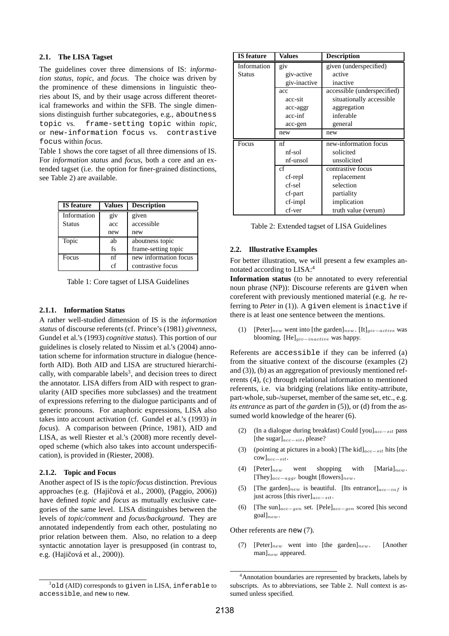#### **2.1. The LISA Tagset**

The guidelines cover three dimensions of IS: *information status*, *topic*, and *focus*. The choice was driven by the prominence of these dimensions in linguistic theories about IS, and by their usage across different theoretical frameworks and within the SFB. The single dimensions distinguish further subcategories, e.g., aboutness topic vs. frame-setting topic within *topic*, or new-information focus vs. contrastive focus within *focus*.

Table 1 shows the core tagset of all three dimensions of IS. For *information status* and *focus*, both a core and an extended tagset (i.e. the option for finer-grained distinctions, see Table 2) are available.

| <b>IS</b> feature | Values | <b>Description</b>    |
|-------------------|--------|-----------------------|
| Information       | giv    | given                 |
| <b>Status</b>     | acc    | accessible            |
|                   | new    | new                   |
| Topic             | ab     | aboutness topic       |
|                   | fs     | frame-setting topic   |
| Focus             | nf     | new information focus |
|                   | cf     | contrastive focus     |

Table 1: Core tagset of LISA Guidelines

## **2.1.1. Information Status**

A rather well-studied dimension of IS is the *information status* of discourse referents (cf. Prince's (1981) *givenness*, Gundel et al.'s (1993) *cognitive status*). This portion of our guidelines is closely related to Nissim et al.'s (2004) annotation scheme for information structure in dialogue (henceforth AID). Both AID and LISA are structured hierarchically, with comparable labels<sup>3</sup>, and decision trees to direct the annotator. LISA differs from AID with respect to granularity (AID specifies more subclasses) and the treatment of expressions referring to the dialogue participants and of generic pronouns. For anaphoric expressions, LISA also takes into account activation (cf. Gundel et al.'s (1993) *in focus*). A comparison between (Prince, 1981), AID and LISA, as well Riester et al.'s (2008) more recently developed scheme (which also takes into account underspecification), is provided in (Riester, 2008).

#### **2.1.2. Topic and Focus**

Another aspect of IS is the *topic/focus* distinction. Previous approaches (e.g. (Hajičová et al., 2000), (Paggio, 2006)) have defined *topic* and *focus* as mutually exclusive categories of the same level. LISA distinguishes between the levels of *topic/comment* and *focus/background*. They are annotated independently from each other, postulating no prior relation between them. Also, no relation to a deep syntactic annotation layer is presupposed (in contrast to, e.g. (Hajičová et al., 2000)).

| <b>IS</b> feature | <b>Values</b> | <b>Description</b>          |
|-------------------|---------------|-----------------------------|
| Information       | giv           | given (underspecified)      |
| <b>Status</b>     | giv-active    | active                      |
|                   | giv-inactive  | inactive                    |
|                   | acc           | accessible (underspecified) |
|                   | acc-sit       | situationally accessible    |
|                   | acc-aggr      | aggregation                 |
|                   | acc-inf       | inferable                   |
|                   | acc-gen       | general                     |
|                   | new           | new                         |
| Focus             | nf            | new-information focus       |
|                   | nf-sol        | solicited                   |
|                   | nf-unsol      | unsolicited                 |
|                   | cf            | contrastive focus           |
|                   | cf-repl       | replacement                 |
|                   | cf-sel        | selection                   |
|                   | cf-part       | partiality                  |
|                   | cf-impl       | implication                 |
|                   | cf-ver        | truth value (verum)         |

Table 2: Extended tagset of LISA Guidelines

#### **2.2. Illustrative Examples**

For better illustration, we will present a few examples annotated according to LISA:<sup>4</sup>

**Information status** (to be annotated to every referential noun phrase (NP)): Discourse referents are given when coreferent with previously mentioned material (e.g. *he* referring to *Peter* in (1)). A given element is inactive if there is at least one sentence between the mentions.

(1) [Peter]<sub>new</sub> went into [the garden]<sub>new</sub>. [It]<sub>qiv−active</sub> was blooming. [He]giv−inactive was happy.

Referents are accessible if they can be inferred (a) from the situative context of the discourse (examples (2) and (3)), (b) as an aggregation of previously mentioned referents (4), (c) through relational information to mentioned referents, i.e. via bridging (relations like entity-attribute, part-whole, sub-/superset, member of the same set, etc., e.g. *its entrance* as part of *the garden* in (5)), or (d) from the assumed world knowledge of the hearer (6).

- (2) (In a dialogue during breakfast) Could [you]acc−sit pass [the sugar]acc−sit, please?
- (3) (pointing at pictures in a book) [The kid] $_{acc-sit}$  hits [the  $\text{cow}$ ] $_{acc-sit}$ .
- (4)  $[Peter]_{new}$  went shopping with  $[Maria]_{new}$ .  $[They]_{acc-aqqr}$  bought  $[flowers]_{new}$ .
- (5) [The garden]<sub>new</sub> is beautiful. [Its entrance]<sub>acc−inf</sub> is just across [this river]acc−sit.
- (6) [The sun]acc−gen set. [Pele]acc−gen scored [his second  $goal]_{new}$ .

Other referents are new (7).

(7)  $[Peter]_{new}$  went into [the garden] $_{new}$ . [Another  $[\text{man}]_{new}$  appeared.

 $3$ old (AID) corresponds to given in LISA, inferable to accessible, and new to new.

<sup>&</sup>lt;sup>4</sup>Annotation boundaries are represented by brackets, labels by subscripts. As to abbreviations, see Table 2. Null context is assumed unless specified.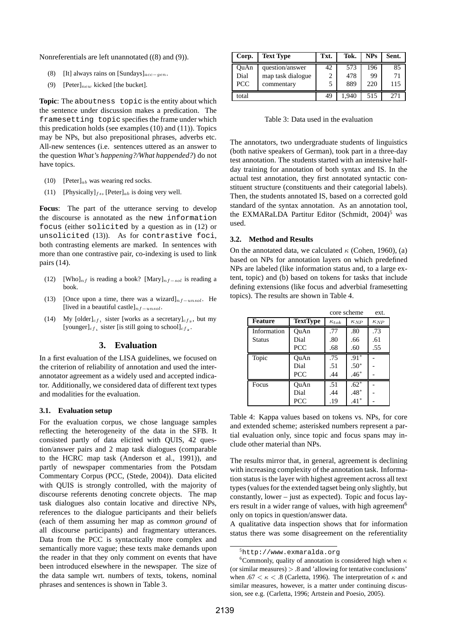Nonreferentials are left unannotated ((8) and (9)).

- (8) [It] always rains on  $\left[\text{Sundays}\right]_{acc-gen}$ .
- (9) [Peter] $_{new}$  kicked [the bucket].

**Topic**: The aboutness topic is the entity about which the sentence under discussion makes a predication. The framesetting topic specifies the frame under which this predication holds (see examples (10) and (11)). Topics may be NPs, but also prepositional phrases, adverbs etc. All-new sentences (i.e. sentences uttered as an answer to the question *What's happening?/What happended?*) do not have topics.

- (10) [Peter]<sub>ab</sub> was wearing red socks.
- (11) [Physically] $_{fs}$ , [Peter]<sub>ab</sub> is doing very well.

**Focus**: The part of the utterance serving to develop the discourse is annotated as the new information focus (either solicited by a question as in (12) or unsolicited (13)). As for contrastive foci, both contrasting elements are marked. In sentences with more than one contrastive pair, co-indexing is used to link pairs (14).

- (12) [Who]<sub>nf</sub> is reading a book? [Mary]<sub>nf-sol</sub> is reading a book.
- (13) [Once upon a time, there was a wizard] $n_f$ −unsol. He [lived in a beautiful castle] $n_f$ −unsol.
- (14) My [older] $_{cf_1}$  sister [works as a secretary] $_{cf_2}$ , but my [younger] $_{cf_1}$  sister [is still going to school] $_{cf_2}$ .

## **3. Evaluation**

In a first evaluation of the LISA guidelines, we focused on the criterion of reliability of annotation and used the interannotator agreement as a widely used and accepted indicator. Additionally, we considered data of different text types and modalities for the evaluation.

#### **3.1. Evaluation setup**

For the evaluation corpus, we chose language samples reflecting the heterogeneity of the data in the SFB. It consisted partly of data elicited with QUIS, 42 question/answer pairs and 2 map task dialogues (comparable to the HCRC map task (Anderson et al., 1991)), and partly of newspaper commentaries from the Potsdam Commentary Corpus (PCC, (Stede, 2004)). Data elicited with QUIS is strongly controlled, with the majority of discourse referents denoting concrete objects. The map task dialogues also contain locative and directive NPs, references to the dialogue participants and their beliefs (each of them assuming her map as *common ground* of all discourse participants) and fragmentary utterances. Data from the PCC is syntactically more complex and semantically more vague; these texts make demands upon the reader in that they only comment on events that have been introduced elsewhere in the newspaper. The size of the data sample wrt. numbers of texts, tokens, nominal phrases and sentences is shown in Table 3.

| Corp.      | <b>Text Type</b>  | Txt. | Tok.  | <b>NPs</b> | Sent. |
|------------|-------------------|------|-------|------------|-------|
| OuAn       | question/answer   | 42   | 573   | 196        | 85    |
| Dial       | map task dialogue | 2    | 478   | 99         | 71    |
| <b>PCC</b> | commentary        | 5    | 889   | 220        | 115   |
| total      |                   | 49   | 1.940 | 515        | 271   |

Table 3: Data used in the evaluation

The annotators, two undergraduate students of linguistics (both native speakers of German), took part in a three-day test annotation. The students started with an intensive halfday training for annotation of both syntax and IS. In the actual test annotation, they first annotated syntactic constituent structure (constituents and their categorial labels). Then, the students annotated IS, based on a corrected gold standard of the syntax annotation. As an annotation tool, the EXMARaLDA Partitur Editor (Schmidt,  $2004$ <sup>5</sup> was used.

#### **3.2. Method and Results**

On the annotated data, we calculated  $\kappa$  (Cohen, 1960), (a) based on NPs for annotation layers on which predefined NPs are labeled (like information status and, to a large extent, topic) and (b) based on tokens for tasks that include defining extensions (like focus and adverbial framesetting topics). The results are shown in Table 4.

|               |                 | core scheme    |               | ext.          |
|---------------|-----------------|----------------|---------------|---------------|
| Feature       | <b>TextType</b> | $\kappa_{tok}$ | $\kappa_{NP}$ | $\kappa_{NP}$ |
| Information   | OuAn            | .77            | .80           | .73           |
| <b>Status</b> | Dial            | .80            | .66           | .61           |
|               | <b>PCC</b>      | .68            | .60           | .55           |
| Topic         | OuAn            | .75            | $.91*$        |               |
|               | Dial            | .51            | $.50*$        |               |
|               | <b>PCC</b>      | .44            | $.46*$        |               |
| Focus         | QuAn            | .51            | $.62*$        |               |
|               | Dial            | .44            | $.48*$        |               |
|               | PCC             | .19            | $.41*$        |               |

Table 4: Kappa values based on tokens vs. NPs, for core and extended scheme; asterisked numbers represent a partial evaluation only, since topic and focus spans may include other material than NPs.

The results mirror that, in general, agreement is declining with increasing complexity of the annotation task. Information status is the layer with highest agreement across all text types (values for the extended tagset being only slightly, but constantly, lower – just as expected). Topic and focus layers result in a wider range of values, with high agreement<sup>6</sup> only on topics in question/answer data.

A qualitative data inspection shows that for information status there was some disagreement on the referentiality

<sup>5</sup>http://www.exmaralda.org

<sup>&</sup>lt;sup>6</sup>Commonly, quality of annotation is considered high when  $\kappa$ (or similar measures) > .8 and 'allowing for tentative conclusions' when .67  $\lt$   $\kappa$   $\lt$  .8 (Carletta, 1996). The interpretation of  $\kappa$  and similar measures, however, is a matter under continuing discussion, see e.g. (Carletta, 1996; Artstein and Poesio, 2005).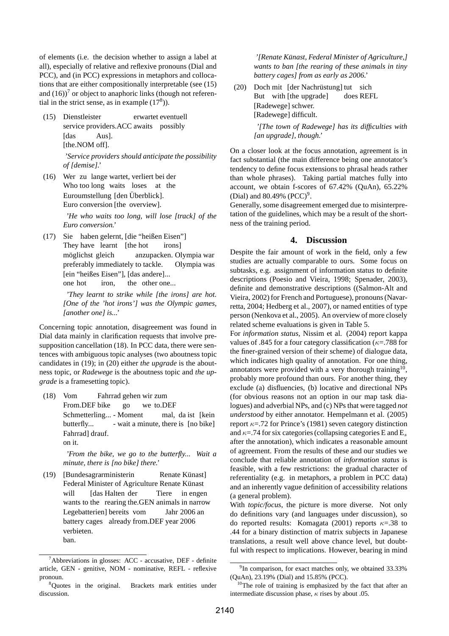of elements (i.e. the decision whether to assign a label at all), especially of relative and reflexive pronouns (Dial and PCC), and (in PCC) expressions in metaphors and collocations that are either compositionally interpretable (see (15) and  $(16)$ <sup>7</sup> or object to anaphoric links (though not referential in the strict sense, as in example  $(17<sup>8</sup>)$ ).

(15) Dienstleister service providers.ACC awaits possibly erwartet eventuell **I**das [the.NOM off]. Aus].

> *'Service providers should anticipate the possibility of [demise].'*

(16) Wer zu lange wartet, verliert bei der Who too long waits loses at the Euroumstellung [den Überblick]. Euro conversion [the overview].

> *'He who waits too long, will lose [track] of the Euro conversion.'*

(17) Sie haben gelernt, [die "heißen Eisen"] They have learnt [the hot irons] möglichst gleich preferably immediately to tackle. anzupacken. Olympia war Olympia was [ein "heißes Eisen"], [das andere]...

one hot iron, the other one...

*'They learnt to strike while [the irons] are hot. [One of the 'hot irons'] was the Olympic games, [another one] is...'*

Concerning topic annotation, disagreement was found in Dial data mainly in clarification requests that involve presupposition cancellation (18). In PCC data, there were sentences with ambiguous topic analyses (two aboutness topic candidates in (19); in (20) either *the upgrade* is the aboutness topic, or *Radewege* is the aboutness topic and *the upgrade* is a framesetting topic).

(18) Vom From.DEF bike Fahrrad gehen wir zum go we to.DEF Schmetterling... - Moment butterfly... - wait a minute, there is [no bike] mal, da ist [kein Fahrrad] drauf. on it.

> *'From the bike, we go to the butterfly... Wait a minute, there is [no bike] there.'*

(19) [Bundesagrarministerin Federal Minister of Agriculture Renate Künast Renate Künast] will wants to the rearing the GEN animals in narrow [das Halten der Tiere in engen Legebatterien] bereits vom battery cages already from.DEF year 2006 Jahr 2006 an verbieten. ban.

*'[Renate Kunast, Federal Minister of Agriculture,] ¨ wants to ban [the rearing of these animals in tiny battery cages] from as early as 2006.'*

(20) Doch mit [der Nachrüstung] tut sich But with [the upgrade] does REFL [Radewege] schwer. [Radewege] difficult.

*'[The town of Radewege] has its difficulties with [an upgrade], though.'*

On a closer look at the focus annotation, agreement is in fact substantial (the main difference being one annotator's tendency to define focus extensions to phrasal heads rather than whole phrases). Taking partial matches fully into account, we obtain f-scores of 67.42% (QuAn), 65.22% (Dial) and 80.49%  $(PCC)^9$ .

Generally, some disagreement emerged due to misinterpretation of the guidelines, which may be a result of the shortness of the training period.

## **4. Discussion**

Despite the fair amount of work in the field, only a few studies are actually comparable to ours. Some focus on subtasks, e.g. assignment of information status to definite descriptions (Poesio and Vieira, 1998; Spenader, 2003), definite and demonstrative descriptions ((Salmon-Alt and Vieira, 2002) for French and Portuguese), pronouns (Navarretta, 2004; Hedberg et al., 2007), or named entities of type person (Nenkova et al., 2005). An overview of more closely related scheme evaluations is given in Table 5.

For *information status*, Nissim et al. (2004) report kappa values of .845 for a four category classification ( $\kappa$ =.788 for the finer-grained version of their scheme) of dialogue data, which indicates high quality of annotation. For one thing, annotators were provided with a very thorough training<sup>10</sup>, probably more profound than ours. For another thing, they exclude (a) disfluencies, (b) locative and directional NPs (for obvious reasons not an option in our map task dialogues) and adverbial NPs, and (c) NPs that were tagged *not understood* by either annotator. Hempelmann et al. (2005) report  $\kappa$ =.72 for Prince's (1981) seven category distinction and  $\kappa$ =.74 for six categories (collapsing categories E and E<sub>s</sub> after the annotation), which indicates a reasonable amount of agreement. From the results of these and our studies we conclude that reliable annotation of *information status* is feasible, with a few restrictions: the gradual character of referentiality (e.g. in metaphors, a problem in PCC data) and an inherently vague definition of accessibility relations (a general problem).

With *topic/focus*, the picture is more diverse. Not only do definitions vary (and languages under discussion), so do reported results: Komagata (2001) reports  $\kappa$ =.38 to .44 for a binary distinction of matrix subjects in Japanese translations, a result well above chance level, but doubtful with respect to implications. However, bearing in mind

<sup>7</sup>Abbreviations in glosses: ACC - accusative, DEF - definite article, GEN - genitive, NOM - nominative, REFL - reflexive pronoun.

<sup>8</sup>Quotes in the original. Brackets mark entities under discussion.

<sup>&</sup>lt;sup>9</sup>In comparison, for exact matches only, we obtained 33.33% (QuAn), 23.19% (Dial) and 15.85% (PCC).

 $10$ The role of training is emphasized by the fact that after an intermediate discussion phase,  $\kappa$  rises by about .05.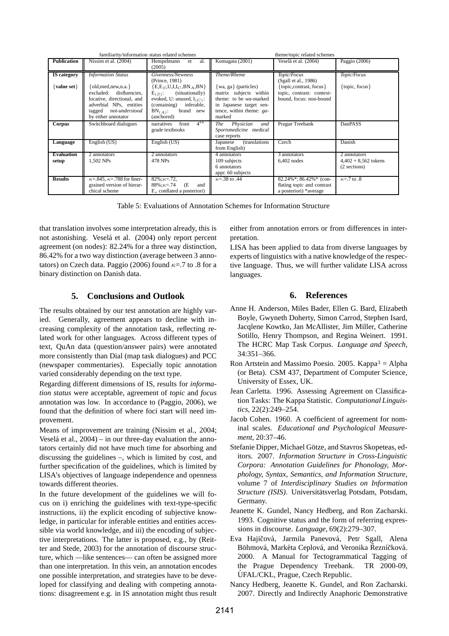| familiarity/information status related schemes |                                                                                                                                                               |                                                                                                                                                                           |                                                                                                                                               | theme/topic related schemes                                                      |                        |  |
|------------------------------------------------|---------------------------------------------------------------------------------------------------------------------------------------------------------------|---------------------------------------------------------------------------------------------------------------------------------------------------------------------------|-----------------------------------------------------------------------------------------------------------------------------------------------|----------------------------------------------------------------------------------|------------------------|--|
| <b>Publication</b>                             | Nissim et al. (2004)                                                                                                                                          | Hempelmann<br>et<br>al.<br>(2005)                                                                                                                                         | Komagata (2001)                                                                                                                               | Veselá et al. (2004)                                                             | Paggio (2006)          |  |
| <b>IS</b> category                             | <b>Information Status</b>                                                                                                                                     | Givenness/Newness<br>(Prince, 1981)                                                                                                                                       | Theme/Rheme                                                                                                                                   | Topic/Focus<br>(Sgall et al., 1986)                                              | Topic/Focus            |  |
| $\{$ value set $\}$                            | $\{old, med, new, n.a.\}$<br>excluded: disfluencies,<br>locative, directional, and<br>adverbial NPs, entities<br>tagged not-understood<br>by either annotator | ${E, E_S, U, I, I_C, BN_A, BN}$<br>(situationally)<br>$E_{(S)}$ :<br>evoked, U: unused, $I_{(C)}$ :<br>(containing) inferable,<br>$BN_{(A)}$ :<br>brand new<br>(anchored) | $\{wa, ga\}$ (particles)<br>matrix subjects within<br>theme: to be wa-marked<br>in Japanese target sen-<br>tence, within rheme: ga-<br>marked | {topic, contrast, focus}<br>topic, contrast: context-<br>bound, focus: non-bound | {topic, focus}         |  |
| Corpus                                         | Switchboard dialogues                                                                                                                                         | $4^{th}$<br>from<br>narratives<br>grade textbooks                                                                                                                         | Physician<br><b>The</b><br>and<br>Sportsmedicine medical<br>case reports                                                                      | Prague Treebank                                                                  | DanPASS                |  |
| Language                                       | English (US)                                                                                                                                                  | English (US)                                                                                                                                                              | (translations<br>Japanese<br>from English)                                                                                                    | Czech                                                                            | Danish                 |  |
| <b>Evaluation</b>                              | 2 annotators                                                                                                                                                  | 2 annotators                                                                                                                                                              | 4 annotators                                                                                                                                  | 3 annotators                                                                     | 2 annotators           |  |
| setup                                          | 1,502 NPs                                                                                                                                                     | 478 NPs                                                                                                                                                                   | 109 subjects                                                                                                                                  | $6,402$ nodes                                                                    | $4,402 + 8,562$ tokens |  |
|                                                |                                                                                                                                                               |                                                                                                                                                                           | 6 annotators                                                                                                                                  |                                                                                  | (2 sections)           |  |
|                                                |                                                                                                                                                               |                                                                                                                                                                           | appr. 60 subjects                                                                                                                             |                                                                                  |                        |  |
| <b>Results</b>                                 | $\kappa = 845$ , $\kappa = 788$ for finer-                                                                                                                    | $82\%; \kappa = .72,$                                                                                                                                                     | $\kappa = 38$ to .44                                                                                                                          | $82.24\%$ <sup>*</sup> ; $86.42\%$ <sup>*</sup> (con-                            | $\kappa$ =.7 to .8     |  |
|                                                | grained version of hierar-                                                                                                                                    | Œ<br>$88\%; \kappa = .74$<br>and                                                                                                                                          |                                                                                                                                               | flating topic and contrast                                                       |                        |  |
|                                                | chical scheme                                                                                                                                                 | $Es$ conflated a posteriori)                                                                                                                                              |                                                                                                                                               | a posteriori) *average                                                           |                        |  |

Table 5: Evaluations of Annotation Schemes for Information Structure

that translation involves some interpretation already, this is not astonishing. Veselá et al. (2004) only report percent agreement (on nodes): 82.24% for a three way distinction, 86.42% for a two way distinction (average between 3 annotators) on Czech data. Paggio (2006) found  $\kappa$ =.7 to .8 for a binary distinction on Danish data.

# **5. Conclusions and Outlook**

The results obtained by our test annotation are highly varied. Generally, agreement appears to decline with increasing complexity of the annotation task, reflecting related work for other languages. Across different types of text, QuAn data (question/answer pairs) were annotated more consistently than Dial (map task dialogues) and PCC (newspaper commentaries). Especially topic annotation varied considerably depending on the text type.

Regarding different dimensions of IS, results for *information status* were acceptable, agreement of *topic* and *focus* annotation was low. In accordance to (Paggio, 2006), we found that the definition of where foci start will need improvement.

Means of improvement are training (Nissim et al., 2004; Veselá et al.,  $2004$ ) – in our three-day evaluation the annotators certainly did not have much time for absorbing and discussing the guidelines –, which is limited by cost, and further specification of the guidelines, which is limited by LISA's objectives of language independence and openness towards different theories.

In the future development of the guidelines we will focus on i) enriching the guidelines with text-type-specific instructions, ii) the explicit encoding of subjective knowledge, in particular for inferable entities and entities accessible via world knowledge, and iii) the encoding of subjective interpretations. The latter is proposed, e.g., by (Reitter and Stede, 2003) for the annotation of discourse structure, which —like sentences— can often be assigned more than one interpretation. In this vein, an annotation encodes one possible interpretation, and strategies have to be developed for classifying and dealing with competing annotations: disagreement e.g. in IS annotation might thus result either from annotation errors or from differences in interpretation.

LISA has been applied to data from diverse languages by experts of linguistics with a native knowledge of the respective language. Thus, we will further validate LISA across languages.

# **6. References**

- Anne H. Anderson, Miles Bader, Ellen G. Bard, Elizabeth Boyle, Gwyneth Doherty, Simon Carrod, Stephen Isard, Jacqlene Kowtko, Jan McAllister, Jim Miller, Catherine Sotillo, Henry Thompson, and Regina Weinert. 1991. The HCRC Map Task Corpus. *Language and Speech*, 34:351–366.
- Ron Artstein and Massimo Poesio. 2005. Kappa $3 =$ Alpha (or Beta). CSM 437, Department of Computer Science, University of Essex, UK.
- Jean Carletta. 1996. Assessing Agreement on Classification Tasks: The Kappa Statistic. *Computational Linguistics*, 22(2):249–254.
- Jacob Cohen. 1960. A coefficient of agreement for nominal scales. *Educational and Psychological Measurement*, 20:37–46.
- Stefanie Dipper, Michael Götze, and Stavros Skopeteas, editors. 2007. *Information Structure in Cross-Linguistic Corpora: Annotation Guidelines for Phonology, Morphology, Syntax, Semantics, and Information Structure*, volume 7 of *Interdisciplinary Studies on Information Structure (ISIS)*. Universitätsverlag Potsdam, Potsdam, Germany.
- Jeanette K. Gundel, Nancy Hedberg, and Ron Zacharski. 1993. Cognitive status and the form of referring expressions in discourse. *Language*, 69(2):279–307.
- Eva Hajičová, Jarmila Panevová, Petr Sgall, Alena Böhmová, Markéta Ceplová, and Veronika Řezníčková. 2000. A Manual for Tectogrammatical Tagging of the Prague Dependency Treebank. TR 2000-09, UFAL/CKL, Prague, Czech Republic. ´
- Nancy Hedberg, Jeanette K. Gundel, and Ron Zacharski. 2007. Directly and Indirectly Anaphoric Demonstrative